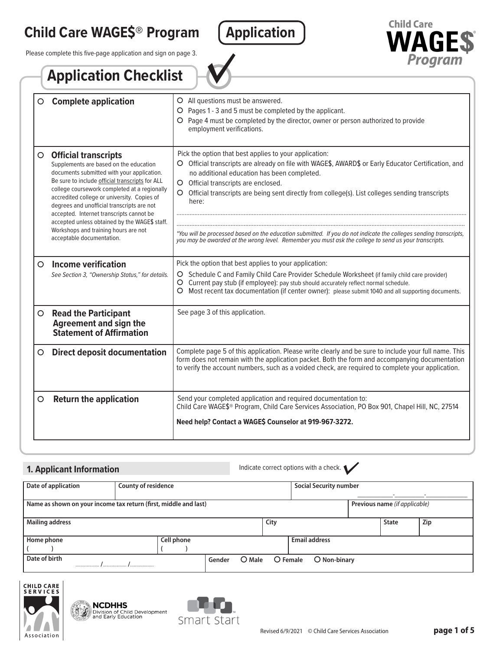# **Child Care WAGE\$® Program Application**

Please complete this five-page application and sign on page 3.





|         | <b>Application Checklist</b>                                                                                                                                                                                                                                                                                                                                                                                                                                                          |                                                                                                                                                                                                                                                                                                                                                                                                                                                                                                                                                                                                      |
|---------|---------------------------------------------------------------------------------------------------------------------------------------------------------------------------------------------------------------------------------------------------------------------------------------------------------------------------------------------------------------------------------------------------------------------------------------------------------------------------------------|------------------------------------------------------------------------------------------------------------------------------------------------------------------------------------------------------------------------------------------------------------------------------------------------------------------------------------------------------------------------------------------------------------------------------------------------------------------------------------------------------------------------------------------------------------------------------------------------------|
| $\circ$ | <b>Complete application</b>                                                                                                                                                                                                                                                                                                                                                                                                                                                           | O All questions must be answered.<br>O Pages 1 - 3 and 5 must be completed by the applicant.<br>O Page 4 must be completed by the director, owner or person authorized to provide<br>employment verifications.                                                                                                                                                                                                                                                                                                                                                                                       |
| $\circ$ | <b>Official transcripts</b><br>Supplements are based on the education<br>documents submitted with your application.<br>Be sure to include official transcripts for ALL<br>college coursework completed at a regionally<br>accredited college or university. Copies of<br>degrees and unofficial transcripts are not<br>accepted. Internet transcripts cannot be<br>accepted unless obtained by the WAGE\$ staff.<br>Workshops and training hours are not<br>acceptable documentation. | Pick the option that best applies to your application:<br>O Official transcripts are already on file with WAGE\$, AWARD\$ or Early Educator Certification, and<br>no additional education has been completed.<br>O Official transcripts are enclosed.<br>Official transcripts are being sent directly from college(s). List colleges sending transcripts<br>O<br>here:<br>*You will be processed based on the education submitted. If you do not indicate the colleges sending transcripts,<br>you may be awarded at the wrong level. Remember you must ask the college to send us your transcripts. |
| $\circ$ | <b>Income verification</b><br>See Section 3, "Ownership Status," for details.                                                                                                                                                                                                                                                                                                                                                                                                         | Pick the option that best applies to your application:<br>Schedule C and Family Child Care Provider Schedule Worksheet (if family child care provider)<br>O<br>Current pay stub (if employee): pay stub should accurately reflect normal schedule.<br>O<br>Most recent tax documentation (if center owner): please submit 1040 and all supporting documents.                                                                                                                                                                                                                                         |
| $\circ$ | <b>Read the Participant</b><br><b>Agreement and sign the</b><br><b>Statement of Affirmation</b>                                                                                                                                                                                                                                                                                                                                                                                       | See page 3 of this application.                                                                                                                                                                                                                                                                                                                                                                                                                                                                                                                                                                      |
| $\circ$ | <b>Direct deposit documentation</b>                                                                                                                                                                                                                                                                                                                                                                                                                                                   | Complete page 5 of this application. Please write clearly and be sure to include your full name. This<br>form does not remain with the application packet. Both the form and accompanying documentation<br>to verify the account numbers, such as a voided check, are required to complete your application.                                                                                                                                                                                                                                                                                         |
| $\circ$ | <b>Return the application</b>                                                                                                                                                                                                                                                                                                                                                                                                                                                         | Send your completed application and required documentation to:<br>Child Care WAGE\$® Program, Child Care Services Association, PO Box 901, Chapel Hill, NC, 27514<br>Need help? Contact a WAGE\$ Counselor at 919-967-3272.                                                                                                                                                                                                                                                                                                                                                                          |

# **1. Applicant Information**

Indicate correct options with a check.

| County of residence<br>Date of application                       |            |                  |                   | <b>Social Security number</b> |                               |     |  |
|------------------------------------------------------------------|------------|------------------|-------------------|-------------------------------|-------------------------------|-----|--|
|                                                                  |            |                  |                   |                               |                               |     |  |
|                                                                  |            |                  |                   |                               |                               |     |  |
| Name as shown on your income tax return (first, middle and last) |            |                  |                   |                               | Previous name (if applicable) |     |  |
|                                                                  |            |                  |                   |                               |                               |     |  |
|                                                                  |            |                  |                   |                               |                               |     |  |
| <b>Mailing address</b>                                           |            | City             |                   |                               | <b>State</b>                  | Zip |  |
|                                                                  |            |                  |                   |                               |                               |     |  |
|                                                                  |            |                  |                   |                               |                               |     |  |
| Home phone                                                       | Cell phone |                  |                   | <b>Email address</b>          |                               |     |  |
|                                                                  |            |                  |                   |                               |                               |     |  |
|                                                                  |            |                  |                   |                               |                               |     |  |
| Date of birth                                                    |            | Gender<br>O Male | $\bigcirc$ Female | O Non-binary                  |                               |     |  |
|                                                                  |            |                  |                   |                               |                               |     |  |
|                                                                  |            |                  |                   |                               |                               |     |  |



**NCDHHS**<br>**Solution** of Child Development<br>and Early Education

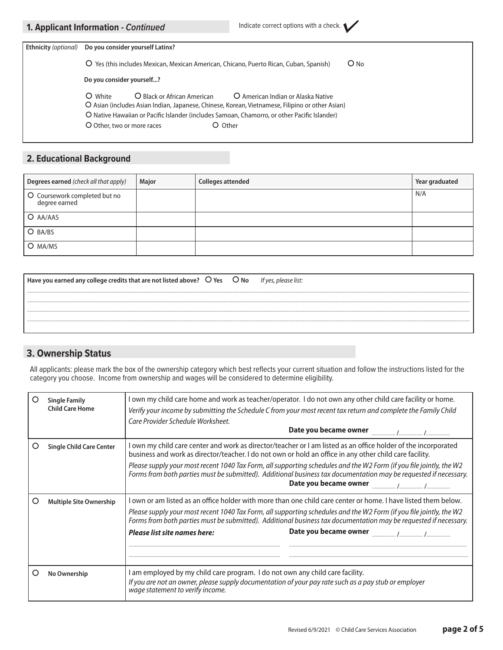|  |  | 1. Applicant Information - Continued |  |
|--|--|--------------------------------------|--|
|--|--|--------------------------------------|--|

| <b>Ethnicity</b> (optional) | Do you consider yourself Latinx?                                                                                                                                                |  |  |  |  |  |
|-----------------------------|---------------------------------------------------------------------------------------------------------------------------------------------------------------------------------|--|--|--|--|--|
|                             | $O$ No<br>O Yes (this includes Mexican, Mexican American, Chicano, Puerto Rican, Cuban, Spanish)                                                                                |  |  |  |  |  |
|                             | Do you consider yourself?                                                                                                                                                       |  |  |  |  |  |
|                             | O Black or African American<br>O White<br>O American Indian or Alaska Native<br>O Asian (includes Asian Indian, Japanese, Chinese, Korean, Vietnamese, Filipino or other Asian) |  |  |  |  |  |
|                             | O Native Hawaiian or Pacific Islander (includes Samoan, Chamorro, or other Pacific Islander)                                                                                    |  |  |  |  |  |
|                             | O Other<br>O Other, two or more races                                                                                                                                           |  |  |  |  |  |
|                             |                                                                                                                                                                                 |  |  |  |  |  |

# **2. Educational Background**

| Degrees earned (check all that apply)          | Major | <b>Colleges attended</b> | Year graduated |
|------------------------------------------------|-------|--------------------------|----------------|
| O Coursework completed but no<br>degree earned |       |                          | N/A            |
| O AA/AAS                                       |       |                          |                |
| O BA/BS                                        |       |                          |                |
| O MA/MS                                        |       |                          |                |

| Have you earned any college credits that are not listed above? $O$ Yes $O$ No |  | It yes, please list: |
|-------------------------------------------------------------------------------|--|----------------------|
|                                                                               |  |                      |
|                                                                               |  |                      |
|                                                                               |  |                      |
|                                                                               |  |                      |
|                                                                               |  |                      |

#### ł **3. Ownership Status**

All applicants: please mark the box of the ownership category which best reflects your current situation and follow the instructions listed for the category you choose. Income from ownership and wages will be considered to determine eligibility.

| <b>Single Family</b><br><b>Child Care Home</b> | I own my child care home and work as teacher/operator. I do not own any other child care facility or home.<br>Verify your income by submitting the Schedule C from your most recent tax return and complete the Family Child<br>Care Provider Schedule Worksheet.                                                                                                                                                                                                                                                                                                                                                               |  |  |  |  |
|------------------------------------------------|---------------------------------------------------------------------------------------------------------------------------------------------------------------------------------------------------------------------------------------------------------------------------------------------------------------------------------------------------------------------------------------------------------------------------------------------------------------------------------------------------------------------------------------------------------------------------------------------------------------------------------|--|--|--|--|
| <b>Single Child Care Center</b>                | own my child care center and work as director/teacher or I am listed as an office holder of the incorporated<br>business and work as director/teacher. I do not own or hold an office in any other child care facility.<br>Please supply your most recent 1040 Tax Form, all supporting schedules and the W2 Form (if you file jointly, the W2<br>Forms from both parties must be submitted). Additional business tax documentation may be requested if necessary.<br>Date you became owner                                                                                                                                     |  |  |  |  |
| <b>Multiple Site Ownership</b>                 | l own or am listed as an office holder with more than one child care center or home. I have listed them below,<br>Please supply your most recent 1040 Tax Form, all supporting schedules and the W2 Form (if you file jointly, the W2<br>Forms from both parties must be submitted). Additional business tax documentation may be requested if necessary.<br>Date you became owner <b>manufature of the Carolina</b> / manufature / manufature / manufature / manufature / manufature / manufature / manufature / manufature / manufature / manufature / manufature / manufature / manufature /<br>Please list site names here: |  |  |  |  |
| No Ownership                                   | am employed by my child care program. I do not own any child care facility.<br>If you are not an owner, please supply documentation of your pay rate such as a pay stub or employer<br>wage statement to verify income.                                                                                                                                                                                                                                                                                                                                                                                                         |  |  |  |  |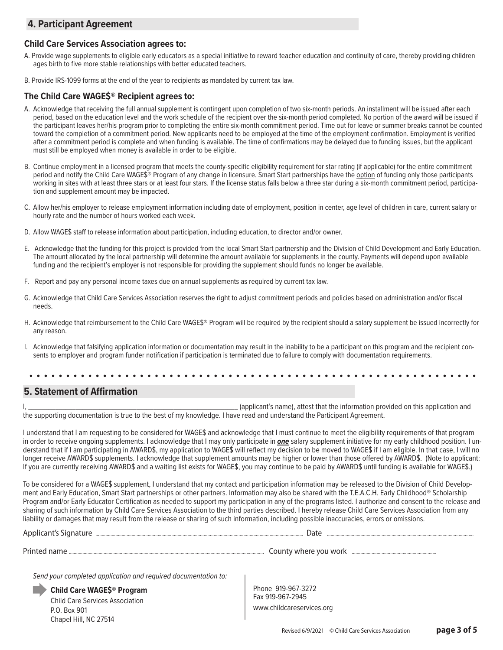# **4. Participant Agreement**

### **Child Care Services Association agrees to:**

- A. Provide wage supplements to eligible early educators as a special initiative to reward teacher education and continuity of care, thereby providing children ages birth to five more stable relationships with better educated teachers.
- B. Provide IRS-1099 forms at the end of the year to recipients as mandated by current tax law.

#### **The Child Care WAGE\$® Recipient agrees to:**

- A. Acknowledge that receiving the full annual supplement is contingent upon completion of two six-month periods. An installment will be issued after each period, based on the education level and the work schedule of the recipient over the six-month period completed. No portion of the award will be issued if the participant leaves her/his program prior to completing the entire six-month commitment period. Time out for leave or summer breaks cannot be counted toward the completion of a commitment period. New applicants need to be employed at the time of the employment confirmation. Employment is verified after a commitment period is complete and when funding is available. The time of confirmations may be delayed due to funding issues, but the applicant must still be employed when money is available in order to be eligible.
- B. Continue employment in a licensed program that meets the county-specific eligibility requirement for star rating (if applicable) for the entire commitment period and notify the Child Care WAGE\$® Program of any change in licensure. Smart Start partnerships have the option of funding only those participants working in sites with at least three stars or at least four stars. If the license status falls below a three star during a six-month commitment period, participation and supplement amount may be impacted.
- C. Allow her/his employer to release employment information including date of employment, position in center, age level of children in care, current salary or hourly rate and the number of hours worked each week.
- D. Allow WAGE\$ staff to release information about participation, including education, to director and/or owner.
- E. Acknowledge that the funding for this project is provided from the local Smart Start partnership and the Division of Child Development and Early Education. The amount allocated by the local partnership will determine the amount available for supplements in the county. Payments will depend upon available funding and the recipient's employer is not responsible for providing the supplement should funds no longer be available.
- F. Report and pay any personal income taxes due on annual supplements as required by current tax law.
- G. Acknowledge that Child Care Services Association reserves the right to adjust commitment periods and policies based on administration and/or fiscal needs.
- H. Acknowledge that reimbursement to the Child Care WAGE\$® Program will be required by the recipient should a salary supplement be issued incorrectly for any reason.
- I. Acknowledge that falsifying application information or documentation may result in the inability to be a participant on this program and the recipient consents to employer and program funder notification if participation is terminated due to failure to comply with documentation requirements.

#### $\ddot{\phantom{0}}$ **5. Statement of Affirmation**

I, \_\_\_\_\_\_\_\_\_\_\_\_\_\_\_\_\_\_\_\_\_\_\_\_\_\_\_\_\_\_\_\_\_\_\_\_\_\_\_\_\_\_\_\_\_\_\_\_\_\_\_\_\_\_\_\_\_\_\_\_\_\_ (applicant's name), attest that the information provided on this application and the supporting documentation is true to the best of my knowledge. I have read and understand the Participant Agreement.

I understand that I am requesting to be considered for WAGE\$ and acknowledge that I must continue to meet the eligibility requirements of that program in order to receive ongoing supplements. I acknowledge that I may only participate in *one* salary supplement initiative for my early childhood position. I understand that if I am participating in AWARD\$, my application to WAGE\$ will reflect my decision to be moved to WAGE\$ if I am eligible. In that case, I will no longer receive AWARD\$ supplements. I acknowledge that supplement amounts may be higher or lower than those offered by AWARD\$. (Note to applicant: If you are currently receiving AWARD\$ and a waiting list exists for WAGE\$, you may continue to be paid by AWARD\$ until funding is available for WAGE\$.)

To be considered for a WAGE\$ supplement, I understand that my contact and participation information may be released to the Division of Child Development and Early Education, Smart Start partnerships or other partners. Information may also be shared with the T.E.A.C.H. Early Childhood® Scholarship Program and/or Early Educator Certification as needed to support my participation in any of the programs listed. I authorize and consent to the release and sharing of such information by Child Care Services Association to the third parties described. I hereby release Child Care Services Association from any liability or damages that may result from the release or sharing of such information, including possible inaccuracies, errors or omissions.

| Applicant's Signature | Datr                  |
|-----------------------|-----------------------|
| Printed name          | County where you work |

*Send your completed application and required documentation to:*

**Child Care WAGE\$® Program** Child Care Services Association P.O. Box 901 Chapel Hill, NC 27514

Phone 919-967-3272 Fax 919-967-2945 www.childcareservices.org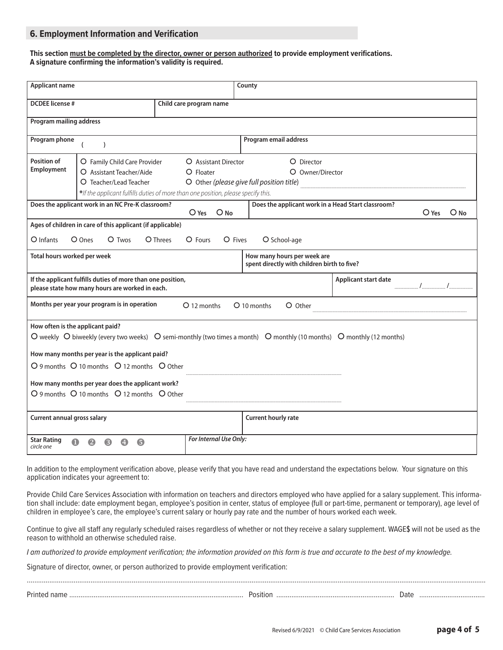## **6. Employment Information and Verification**

#### **This section must be completed by the director, owner or person authorized to provide employment verifications. A signature confirming the information's validity is required.**

| <b>Applicant name</b>                                                                                                                                                                                                                                     |                                                                                                                |                       |                                                                             | County                                                                     |                      |  |
|-----------------------------------------------------------------------------------------------------------------------------------------------------------------------------------------------------------------------------------------------------------|----------------------------------------------------------------------------------------------------------------|-----------------------|-----------------------------------------------------------------------------|----------------------------------------------------------------------------|----------------------|--|
| <b>DCDEE</b> license #<br>Child care program name                                                                                                                                                                                                         |                                                                                                                |                       |                                                                             |                                                                            |                      |  |
| <b>Program mailing address</b>                                                                                                                                                                                                                            |                                                                                                                |                       |                                                                             |                                                                            |                      |  |
| Program phone                                                                                                                                                                                                                                             | $\lambda$                                                                                                      |                       |                                                                             | Program email address                                                      |                      |  |
| Position of<br>O Family Child Care Provider<br>O Assistant Director<br>Employment<br>O Assistant Teacher/Aide<br>O Floater<br>O Teacher/Lead Teacher<br>*If the applicant fulfills duties of more than one position, please specify this.                 |                                                                                                                |                       | O Director<br>O Owner/Director<br>O Other (please give full position title) |                                                                            |                      |  |
|                                                                                                                                                                                                                                                           | Does the applicant work in an NC Pre-K classroom?                                                              | $O$ Yes               | $O$ No                                                                      | Does the applicant work in a Head Start classroom?                         | $O$ Yes<br>$O$ No    |  |
|                                                                                                                                                                                                                                                           | Ages of children in care of this applicant (if applicable)                                                     |                       |                                                                             |                                                                            |                      |  |
| $O$ Infants                                                                                                                                                                                                                                               | O Ones<br>$O$ Twos                                                                                             | $O$ Fours<br>O Threes | O Fives                                                                     | O School-age                                                               |                      |  |
| Total hours worked per week                                                                                                                                                                                                                               |                                                                                                                |                       |                                                                             | How many hours per week are<br>spent directly with children birth to five? |                      |  |
|                                                                                                                                                                                                                                                           | If the applicant fulfills duties of more than one position,<br>please state how many hours are worked in each. |                       |                                                                             |                                                                            | Applicant start date |  |
|                                                                                                                                                                                                                                                           | Months per year your program is in operation                                                                   | O 12 months           |                                                                             | O 10 months<br>O Other                                                     |                      |  |
| How often is the applicant paid?<br>O weekly O biweekly (every two weeks) O semi-monthly (two times a month) O monthly (10 months) O monthly (12 months)<br>How many months per year is the applicant paid?<br>O 9 months O 10 months O 12 months O Other |                                                                                                                |                       |                                                                             |                                                                            |                      |  |
| How many months per year does the applicant work?<br>O 9 months O 10 months O 12 months O Other                                                                                                                                                           |                                                                                                                |                       |                                                                             |                                                                            |                      |  |
| Current annual gross salary                                                                                                                                                                                                                               |                                                                                                                |                       |                                                                             | <b>Current hourly rate</b>                                                 |                      |  |
| <b>Star Rating</b><br>circle one                                                                                                                                                                                                                          |                                                                                                                |                       | For Internal Use Only:                                                      |                                                                            |                      |  |

In addition to the employment verification above, please verify that you have read and understand the expectations below. Your signature on this application indicates your agreement to:

Provide Child Care Services Association with information on teachers and directors employed who have applied for a salary supplement. This information shall include: date employment began, employee's position in center, status of employee (full or part-time, permanent or temporary), age level of children in employee's care, the employee's current salary or hourly pay rate and the number of hours worked each week.

Continue to give all staff any regularly scheduled raises regardless of whether or not they receive a salary supplement. WAGE\$ will not be used as the reason to withhold an otherwise scheduled raise.

*I am authorized to provide employment verification; the information provided on this form is true and accurate to the best of my knowledge.* 

Signature of director, owner, or person authorized to provide employment verification:

| Dri | 1 <sub>1</sub> |
|-----|----------------|